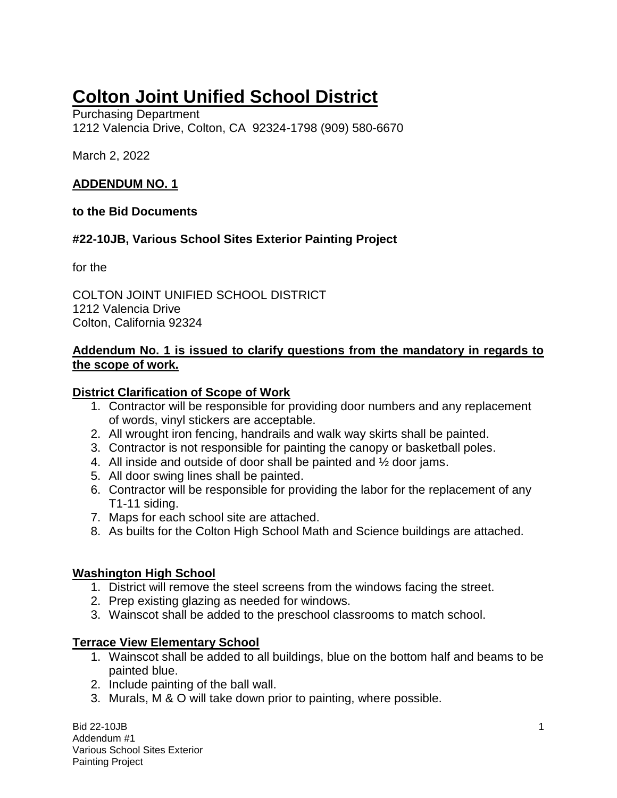# **Colton Joint Unified School District**

Purchasing Department 1212 Valencia Drive, Colton, CA 92324-1798 (909) 580-6670

March 2, 2022

#### **ADDENDUM NO. 1**

#### **to the Bid Documents**

### **#22-10JB, Various School Sites Exterior Painting Project**

for the

COLTON JOINT UNIFIED SCHOOL DISTRICT 1212 Valencia Drive Colton, California 92324

#### **Addendum No. 1 is issued to clarify questions from the mandatory in regards to the scope of work.**

### **District Clarification of Scope of Work**

- 1. Contractor will be responsible for providing door numbers and any replacement of words, vinyl stickers are acceptable.
- 2. All wrought iron fencing, handrails and walk way skirts shall be painted.
- 3. Contractor is not responsible for painting the canopy or basketball poles.
- 4. All inside and outside of door shall be painted and ½ door jams.
- 5. All door swing lines shall be painted.
- 6. Contractor will be responsible for providing the labor for the replacement of any T1-11 siding.
- 7. Maps for each school site are attached.
- 8. As builts for the Colton High School Math and Science buildings are attached.

### **Washington High School**

- 1. District will remove the steel screens from the windows facing the street.
- 2. Prep existing glazing as needed for windows.
- 3. Wainscot shall be added to the preschool classrooms to match school.

### **Terrace View Elementary School**

- 1. Wainscot shall be added to all buildings, blue on the bottom half and beams to be painted blue.
- 2. Include painting of the ball wall.
- 3. Murals, M & O will take down prior to painting, where possible.

Bid 22-10JB 1 Addendum #1 Various School Sites Exterior Painting Project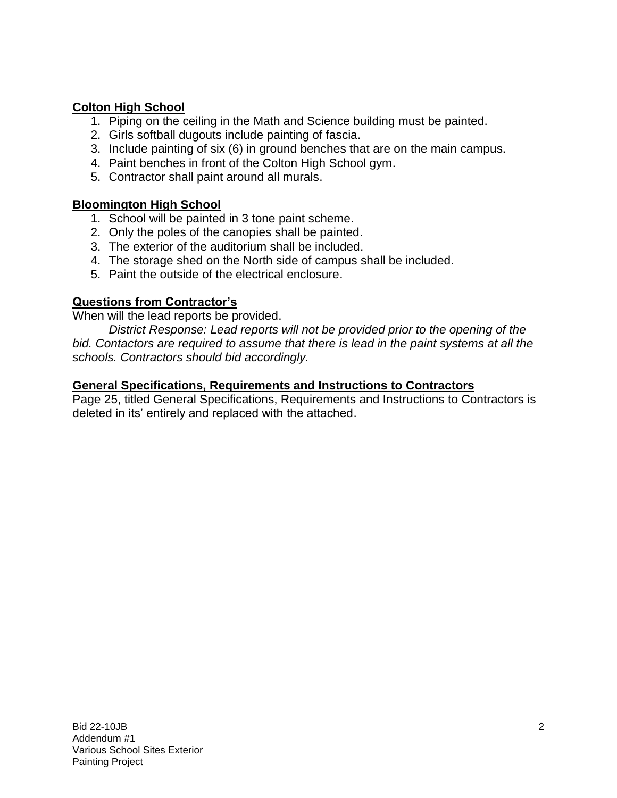### **Colton High School**

- 1. Piping on the ceiling in the Math and Science building must be painted.
- 2. Girls softball dugouts include painting of fascia.
- 3. Include painting of six (6) in ground benches that are on the main campus.
- 4. Paint benches in front of the Colton High School gym.
- 5. Contractor shall paint around all murals.

### **Bloomington High School**

- 1. School will be painted in 3 tone paint scheme.
- 2. Only the poles of the canopies shall be painted.
- 3. The exterior of the auditorium shall be included.
- 4. The storage shed on the North side of campus shall be included.
- 5. Paint the outside of the electrical enclosure.

### **Questions from Contractor's**

When will the lead reports be provided.

*District Response: Lead reports will not be provided prior to the opening of the bid. Contactors are required to assume that there is lead in the paint systems at all the schools. Contractors should bid accordingly.* 

#### **General Specifications, Requirements and Instructions to Contractors**

Page 25, titled General Specifications, Requirements and Instructions to Contractors is deleted in its' entirely and replaced with the attached.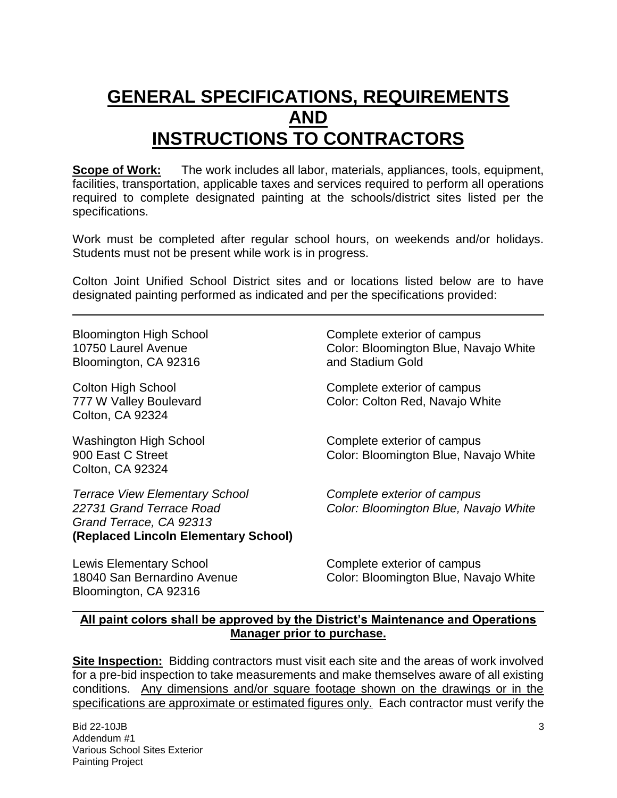## **GENERAL SPECIFICATIONS, REQUIREMENTS AND INSTRUCTIONS TO CONTRACTORS**

**Scope of Work:** The work includes all labor, materials, appliances, tools, equipment, facilities, transportation, applicable taxes and services required to perform all operations required to complete designated painting at the schools/district sites listed per the specifications.

Work must be completed after regular school hours, on weekends and/or holidays. Students must not be present while work is in progress.

Colton Joint Unified School District sites and or locations listed below are to have designated painting performed as indicated and per the specifications provided:

Bloomington, CA 92316 and Stadium Gold

Colton, CA 92324

Colton, CA 92324

*Terrace View Elementary School Complete exterior of campus 22731 Grand Terrace Road Color: Bloomington Blue, Navajo White Grand Terrace, CA 92313* **(Replaced Lincoln Elementary School)** 

Lewis Elementary School **Complete exterior of campus** Bloomington, CA 92316

Bloomington High School Complete exterior of campus 10750 Laurel Avenue Color: Bloomington Blue, Navajo White

Colton High School Complete exterior of campus 777 W Valley Boulevard Color: Color: Colton Red, Navajo White

Washington High School Complete exterior of campus 900 East C Street **Color: Bloomington Blue, Navajo White** 

18040 San Bernardino Avenue Color: Bloomington Blue, Navajo White

### **All paint colors shall be approved by the District's Maintenance and Operations Manager prior to purchase.**

**Site Inspection:** Bidding contractors must visit each site and the areas of work involved for a pre-bid inspection to take measurements and make themselves aware of all existing conditions. Any dimensions and/or square footage shown on the drawings or in the specifications are approximate or estimated figures only. Each contractor must verify the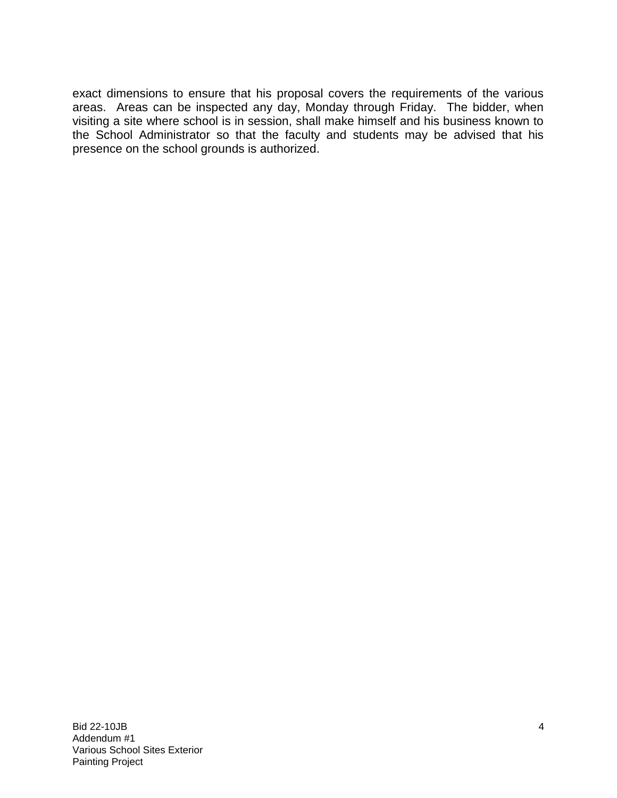exact dimensions to ensure that his proposal covers the requirements of the various areas. Areas can be inspected any day, Monday through Friday. The bidder, when visiting a site where school is in session, shall make himself and his business known to the School Administrator so that the faculty and students may be advised that his presence on the school grounds is authorized.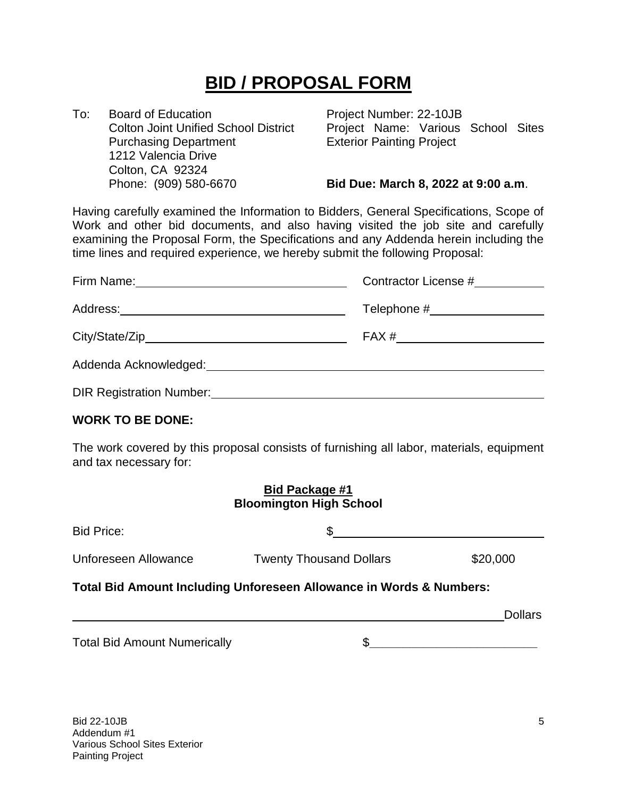# **BID / PROPOSAL FORM**

To: Board of Education **Project Number: 22-10JB** Purchasing Department Exterior Painting Project 1212 Valencia Drive Colton, CA 92324

Colton Joint Unified School District Project Name: Various School Sites

#### Phone: (909) 580-6670 **Bid Due: March 8, 2022 at 9:00 a.m**.

Having carefully examined the Information to Bidders, General Specifications, Scope of Work and other bid documents, and also having visited the job site and carefully examining the Proposal Form, the Specifications and any Addenda herein including the time lines and required experience, we hereby submit the following Proposal:

|                                              | Contractor License #            |
|----------------------------------------------|---------------------------------|
|                                              | Telephone #____________________ |
|                                              | $FAX # \quad \_\_\_\_\_\_\_$    |
| Addenda Acknowledged:                        |                                 |
| DIR Registration Number: <b>Example 2018</b> |                                 |

#### **WORK TO BE DONE:**

The work covered by this proposal consists of furnishing all labor, materials, equipment and tax necessary for:

#### **Bid Package #1 Bloomington High School**

| <b>Bid Price:</b>                                                              |                                |                |  |  |
|--------------------------------------------------------------------------------|--------------------------------|----------------|--|--|
| Unforeseen Allowance                                                           | <b>Twenty Thousand Dollars</b> | \$20,000       |  |  |
| <b>Total Bid Amount Including Unforeseen Allowance in Words &amp; Numbers:</b> |                                |                |  |  |
|                                                                                |                                | <b>Dollars</b> |  |  |
| <b>Total Bid Amount Numerically</b>                                            |                                |                |  |  |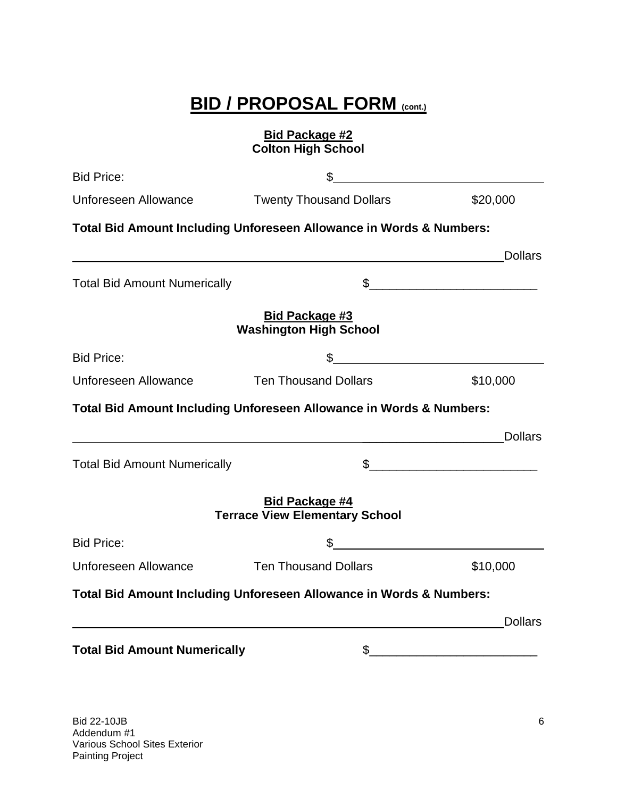# **BID / PROPOSAL FORM (cont.)**

### **Bid Package #2 Colton High School**

| <b>Bid Price:</b>                   |                                                                     |                                                                        |
|-------------------------------------|---------------------------------------------------------------------|------------------------------------------------------------------------|
| Unforeseen Allowance                | <b>Twenty Thousand Dollars</b>                                      | \$20,000                                                               |
|                                     | Total Bid Amount Including Unforeseen Allowance in Words & Numbers: |                                                                        |
|                                     |                                                                     | <b>Dollars</b><br><u> 1989 - Johann Stoff, Amerikaansk politiker (</u> |
| <b>Total Bid Amount Numerically</b> |                                                                     | $\frac{1}{2}$                                                          |
|                                     | <b>Bid Package #3</b><br><b>Washington High School</b>              |                                                                        |
| <b>Bid Price:</b>                   | \$                                                                  |                                                                        |
| <b>Unforeseen Allowance</b>         | <b>Ten Thousand Dollars</b>                                         | \$10,000                                                               |
|                                     | Total Bid Amount Including Unforeseen Allowance in Words & Numbers: |                                                                        |
|                                     |                                                                     | <b>Dollars</b>                                                         |
| <b>Total Bid Amount Numerically</b> |                                                                     | $\frac{1}{2}$                                                          |
|                                     | <b>Bid Package #4</b><br><b>Terrace View Elementary School</b>      |                                                                        |
| <b>Bid Price:</b>                   | \$                                                                  |                                                                        |
| Unforeseen Allowance                | <b>Ten Thousand Dollars</b>                                         | \$10,000                                                               |
|                                     | Total Bid Amount Including Unforeseen Allowance in Words & Numbers: |                                                                        |
|                                     |                                                                     | <b>Dollars</b>                                                         |
| <b>Total Bid Amount Numerically</b> | \$                                                                  |                                                                        |
|                                     |                                                                     |                                                                        |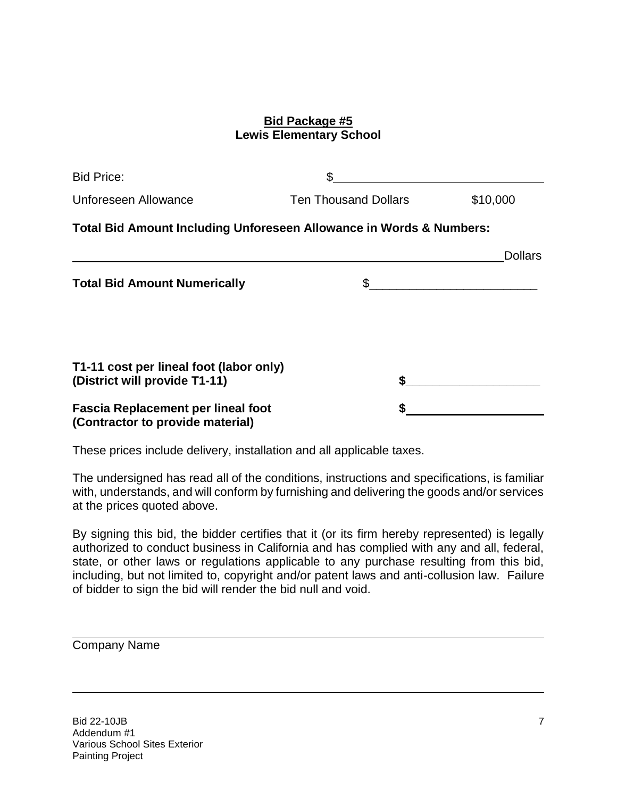#### **Bid Package #5 Lewis Elementary School**

| <b>Bid Price:</b>                                                             | \$                          |                |
|-------------------------------------------------------------------------------|-----------------------------|----------------|
| Unforeseen Allowance                                                          | <b>Ten Thousand Dollars</b> | \$10,000       |
| Total Bid Amount Including Unforeseen Allowance in Words & Numbers:           |                             |                |
|                                                                               |                             | <b>Dollars</b> |
| <b>Total Bid Amount Numerically</b>                                           |                             |                |
| T1-11 cost per lineal foot (labor only)<br>(District will provide T1-11)      |                             |                |
| <b>Fascia Replacement per lineal foot</b><br>(Contractor to provide material) |                             |                |

These prices include delivery, installation and all applicable taxes.

The undersigned has read all of the conditions, instructions and specifications, is familiar with, understands, and will conform by furnishing and delivering the goods and/or services at the prices quoted above.

By signing this bid, the bidder certifies that it (or its firm hereby represented) is legally authorized to conduct business in California and has complied with any and all, federal, state, or other laws or regulations applicable to any purchase resulting from this bid, including, but not limited to, copyright and/or patent laws and anti-collusion law. Failure of bidder to sign the bid will render the bid null and void.

| <b>Company Name</b> |  |
|---------------------|--|
|---------------------|--|